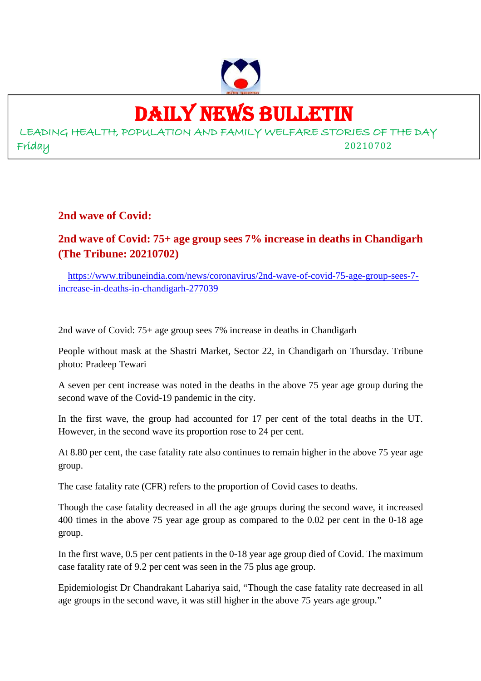

## DAILY NEWS BULLETIN

LEADING HEALTH, POPULATION AND FAMILY WELFARE STORIES OF THE DAY Friday 20210702

**2nd wave of Covid:**

#### **2nd wave of Covid: 75+ age group sees 7% increase in deaths in Chandigarh (The Tribune: 20210702)**

https://www.tribuneindia.com/news/coronavirus/2nd-wave-of-covid-75-age-group-sees-7 increase-in-deaths-in-chandigarh-277039

2nd wave of Covid: 75+ age group sees 7% increase in deaths in Chandigarh

People without mask at the Shastri Market, Sector 22, in Chandigarh on Thursday. Tribune photo: Pradeep Tewari

A seven per cent increase was noted in the deaths in the above 75 year age group during the second wave of the Covid-19 pandemic in the city.

In the first wave, the group had accounted for 17 per cent of the total deaths in the UT. However, in the second wave its proportion rose to 24 per cent.

At 8.80 per cent, the case fatality rate also continues to remain higher in the above 75 year age group.

The case fatality rate (CFR) refers to the proportion of Covid cases to deaths.

Though the case fatality decreased in all the age groups during the second wave, it increased 400 times in the above 75 year age group as compared to the 0.02 per cent in the 0-18 age group.

In the first wave, 0.5 per cent patients in the 0-18 year age group died of Covid. The maximum case fatality rate of 9.2 per cent was seen in the 75 plus age group.

Epidemiologist Dr Chandrakant Lahariya said, "Though the case fatality rate decreased in all age groups in the second wave, it was still higher in the above 75 years age group."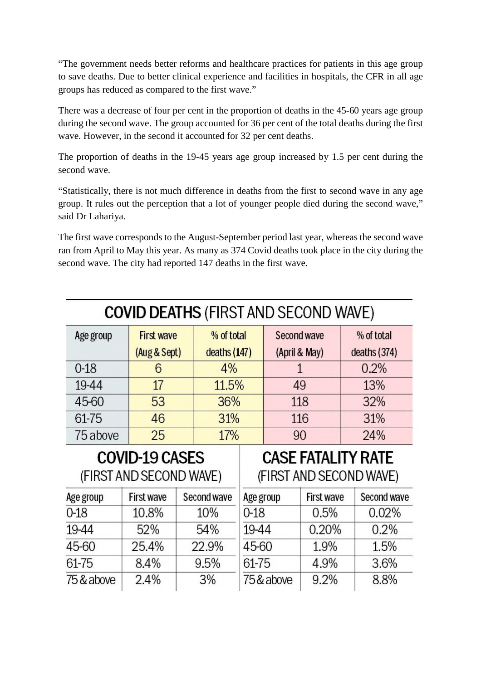"The government needs better reforms and healthcare practices for patients in this age group to save deaths. Due to better clinical experience and facilities in hospitals, the CFR in all age groups has reduced as compared to the first wave."

There was a decrease of four per cent in the proportion of deaths in the 45-60 years age group during the second wave. The group accounted for 36 per cent of the total deaths during the first wave. However, in the second it accounted for 32 per cent deaths.

The proportion of deaths in the 19-45 years age group increased by 1.5 per cent during the second wave.

"Statistically, there is not much difference in deaths from the first to second wave in any age group. It rules out the perception that a lot of younger people died during the second wave," said Dr Lahariya.

The first wave corresponds to the August-September period last year, whereas the second wave ran from April to May this year. As many as 374 Covid deaths took place in the city during the second wave. The city had reported 147 deaths in the first wave.

| <b>COVID DEATHS (FIRST AND SECOND WAVE)</b> |                                   |                            |                              |                            |  |
|---------------------------------------------|-----------------------------------|----------------------------|------------------------------|----------------------------|--|
| Age group                                   | <b>First wave</b><br>(Aug & Sept) | % of total<br>deaths (147) | Second wave<br>(April & May) | % of total<br>deaths (374) |  |
| $0 - 18$                                    | 6                                 | 4%                         |                              | 0.2%                       |  |
| 19-44                                       | 17                                | 11.5%                      | 49                           | 13%                        |  |
| 45-60                                       | 53                                | 36%                        | 118                          | 32%                        |  |
| 61-75                                       | 46                                | 31%                        | 116                          | 31%                        |  |
| 75 above                                    | 25                                | 17%                        | 90                           | 24%                        |  |

## **COVID-19 CASES** (FIRST AND SECOND WAVE)

### **CASE FATALITY RATE** (FIRST AND SECOND WAVE)

| Age group  | <b>First wave</b> | Second wave |
|------------|-------------------|-------------|
| $0 - 18$   | 10.8%             | 10%         |
| 19-44      | 52%               | 54%         |
| 45-60      | 25.4%             | 22.9%       |
| 61-75      | 8.4%              | 9.5%        |
| 75 & above | 2.4%              | 3%          |

| Age group  | <b>First wave</b> | Second wave |
|------------|-------------------|-------------|
| $0 - 18$   | 0.5%              | 0.02%       |
| 19-44      | 0.20%             | 0.2%        |
| 45-60      | 1.9%              | 1.5%        |
| 61-75      | 4.9%              | 3.6%        |
| 75 & above | $9.2\%$           | 8.8%        |
|            |                   |             |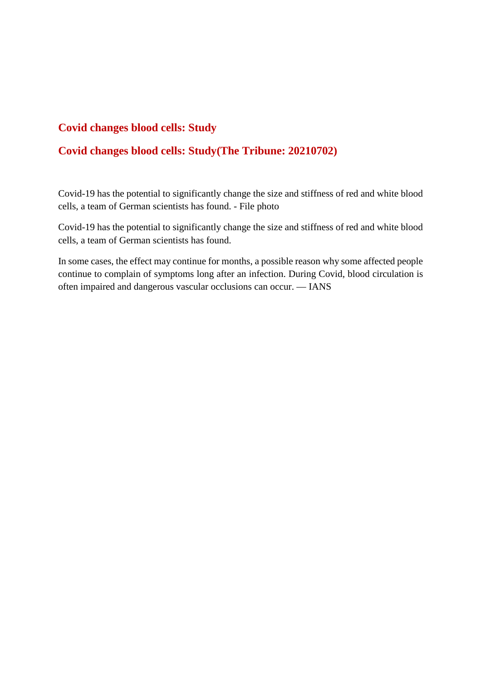#### **Covid changes blood cells: Study**

#### **Covid changes blood cells: Study(The Tribune: 20210702)**

Covid-19 has the potential to significantly change the size and stiffness of red and white blood cells, a team of German scientists has found. - File photo

Covid-19 has the potential to significantly change the size and stiffness of red and white blood cells, a team of German scientists has found.

In some cases, the effect may continue for months, a possible reason why some affected people continue to complain of symptoms long after an infection. During Covid, blood circulation is often impaired and dangerous vascular occlusions can occur. — IANS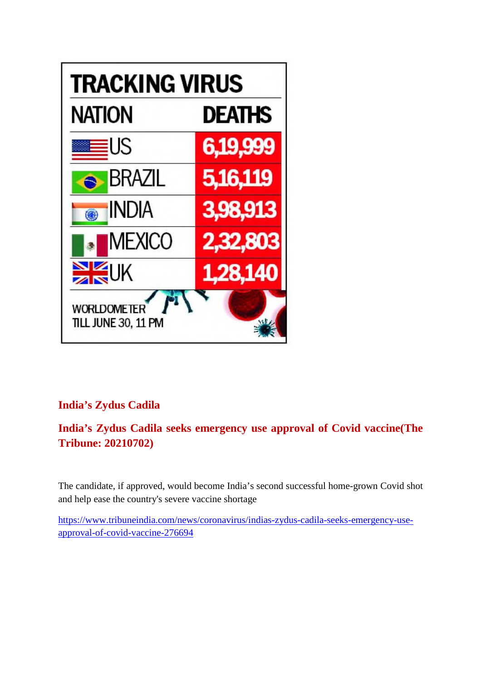

#### **India's Zydus Cadila**

#### **India's Zydus Cadila seeks emergency use approval of Covid vaccine(The Tribune: 20210702)**

The candidate, if approved, would become India's second successful home-grown Covid shot and help ease the country's severe vaccine shortage

https://www.tribuneindia.com/news/coronavirus/indias-zydus-cadila-seeks-emergency-useapproval-of-covid-vaccine-276694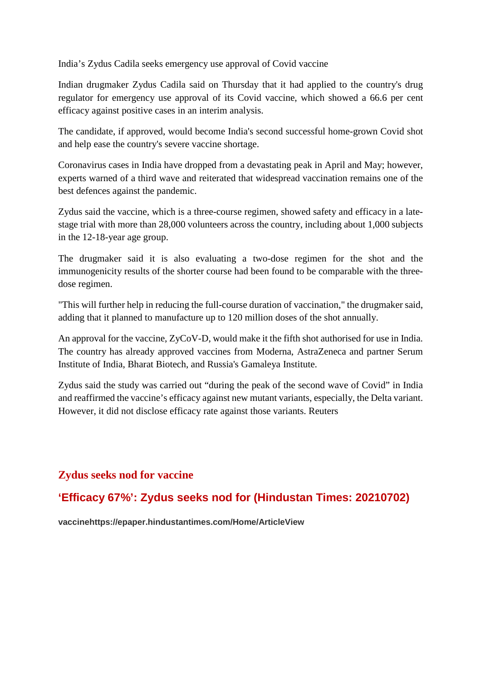India's Zydus Cadila seeks emergency use approval of Covid vaccine

Indian drugmaker Zydus Cadila said on Thursday that it had applied to the country's drug regulator for emergency use approval of its Covid vaccine, which showed a 66.6 per cent efficacy against positive cases in an interim analysis.

The candidate, if approved, would become India's second successful home-grown Covid shot and help ease the country's severe vaccine shortage.

Coronavirus cases in India have dropped from a devastating peak in April and May; however, experts warned of a third wave and reiterated that widespread vaccination remains one of the best defences against the pandemic.

Zydus said the vaccine, which is a three-course regimen, showed safety and efficacy in a latestage trial with more than 28,000 volunteers across the country, including about 1,000 subjects in the 12-18-year age group.

The drugmaker said it is also evaluating a two-dose regimen for the shot and the immunogenicity results of the shorter course had been found to be comparable with the threedose regimen.

"This will further help in reducing the full-course duration of vaccination," the drugmaker said, adding that it planned to manufacture up to 120 million doses of the shot annually.

An approval for the vaccine, ZyCoV-D, would make it the fifth shot authorised for use in India. The country has already approved vaccines from Moderna, AstraZeneca and partner Serum Institute of India, Bharat Biotech, and Russia's Gamaleya Institute.

Zydus said the study was carried out "during the peak of the second wave of Covid" in India and reaffirmed the vaccine's efficacy against new mutant variants, especially, the Delta variant. However, it did not disclose efficacy rate against those variants. Reuters

#### **Zydus seeks nod for vaccine**

#### **'Efficacy 67%': Zydus seeks nod for (Hindustan Times: 20210702)**

**vaccinehttps://epaper.hindustantimes.com/Home/ArticleView**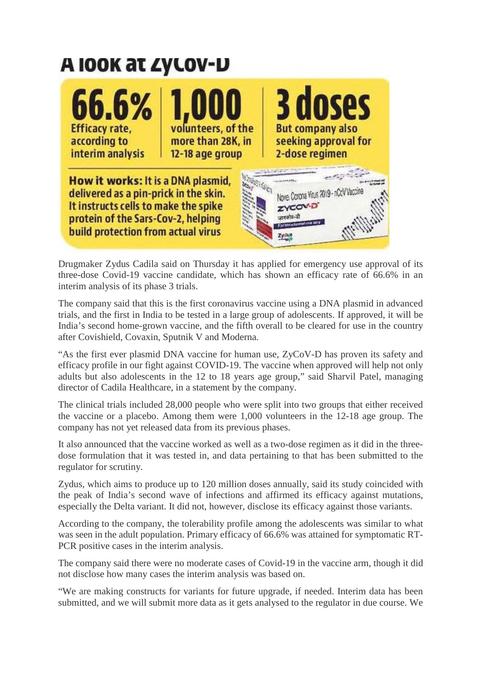## A IOOK AT ZYLOV-D



Drugmaker Zydus Cadila said on Thursday it has applied for emergency use approval of its three-dose Covid-19 vaccine candidate, which has shown an efficacy rate of 66.6% in an interim analysis of its phase 3 trials.

The company said that this is the first coronavirus vaccine using a DNA plasmid in advanced trials, and the first in India to be tested in a large group of adolescents. If approved, it will be India's second home-grown vaccine, and the fifth overall to be cleared for use in the country after Covishield, Covaxin, Sputnik V and Moderna.

"As the first ever plasmid DNA vaccine for human use, ZyCoV-D has proven its safety and efficacy profile in our fight against COVID-19. The vaccine when approved will help not only adults but also adolescents in the 12 to 18 years age group," said Sharvil Patel, managing director of Cadila Healthcare, in a statement by the company.

The clinical trials included 28,000 people who were split into two groups that either received the vaccine or a placebo. Among them were 1,000 volunteers in the 12-18 age group. The company has not yet released data from its previous phases.

It also announced that the vaccine worked as well as a two-dose regimen as it did in the threedose formulation that it was tested in, and data pertaining to that has been submitted to the regulator for scrutiny.

Zydus, which aims to produce up to 120 million doses annually, said its study coincided with the peak of India's second wave of infections and affirmed its efficacy against mutations, especially the Delta variant. It did not, however, disclose its efficacy against those variants.

According to the company, the tolerability profile among the adolescents was similar to what was seen in the adult population. Primary efficacy of 66.6% was attained for symptomatic RT-PCR positive cases in the interim analysis.

The company said there were no moderate cases of Covid-19 in the vaccine arm, though it did not disclose how many cases the interim analysis was based on.

"We are making constructs for variants for future upgrade, if needed. Interim data has been submitted, and we will submit more data as it gets analysed to the regulator in due course. We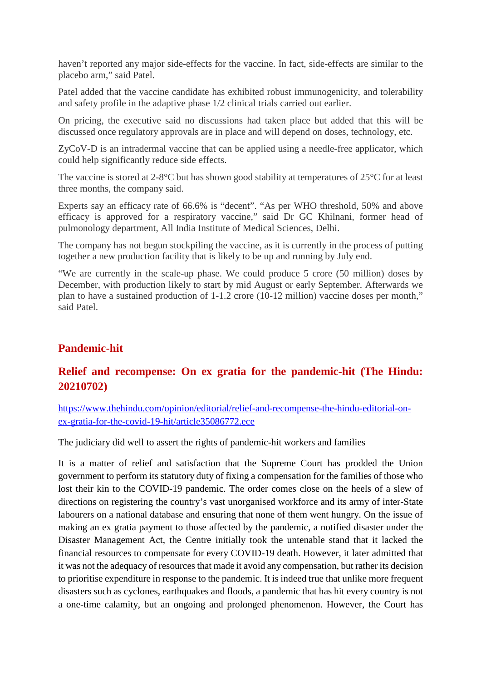haven't reported any major side-effects for the vaccine. In fact, side-effects are similar to the placebo arm," said Patel.

Patel added that the vaccine candidate has exhibited robust immunogenicity, and tolerability and safety profile in the adaptive phase 1/2 clinical trials carried out earlier.

On pricing, the executive said no discussions had taken place but added that this will be discussed once regulatory approvals are in place and will depend on doses, technology, etc.

ZyCoV-D is an intradermal vaccine that can be applied using a needle-free applicator, which could help significantly reduce side effects.

The vaccine is stored at 2-8°C but has shown good stability at temperatures of 25°C for at least three months, the company said.

Experts say an efficacy rate of 66.6% is "decent". "As per WHO threshold, 50% and above efficacy is approved for a respiratory vaccine," said Dr GC Khilnani, former head of pulmonology department, All India Institute of Medical Sciences, Delhi.

The company has not begun stockpiling the vaccine, as it is currently in the process of putting together a new production facility that is likely to be up and running by July end.

"We are currently in the scale-up phase. We could produce 5 crore (50 million) doses by December, with production likely to start by mid August or early September. Afterwards we plan to have a sustained production of 1-1.2 crore (10-12 million) vaccine doses per month," said Patel.

#### **Pandemic-hit**

#### **Relief and recompense: On ex gratia for the pandemic-hit (The Hindu: 20210702)**

https://www.thehindu.com/opinion/editorial/relief-and-recompense-the-hindu-editorial-onex-gratia-for-the-covid-19-hit/article35086772.ece

The judiciary did well to assert the rights of pandemic-hit workers and families

It is a matter of relief and satisfaction that the Supreme Court has prodded the Union government to perform its statutory duty of fixing a compensation for the families of those who lost their kin to the COVID-19 pandemic. The order comes close on the heels of a slew of directions on registering the country's vast unorganised workforce and its army of inter-State labourers on a national database and ensuring that none of them went hungry. On the issue of making an ex gratia payment to those affected by the pandemic, a notified disaster under the Disaster Management Act, the Centre initially took the untenable stand that it lacked the financial resources to compensate for every COVID-19 death. However, it later admitted that it was not the adequacy of resources that made it avoid any compensation, but rather its decision to prioritise expenditure in response to the pandemic. It is indeed true that unlike more frequent disasters such as cyclones, earthquakes and floods, a pandemic that has hit every country is not a one-time calamity, but an ongoing and prolonged phenomenon. However, the Court has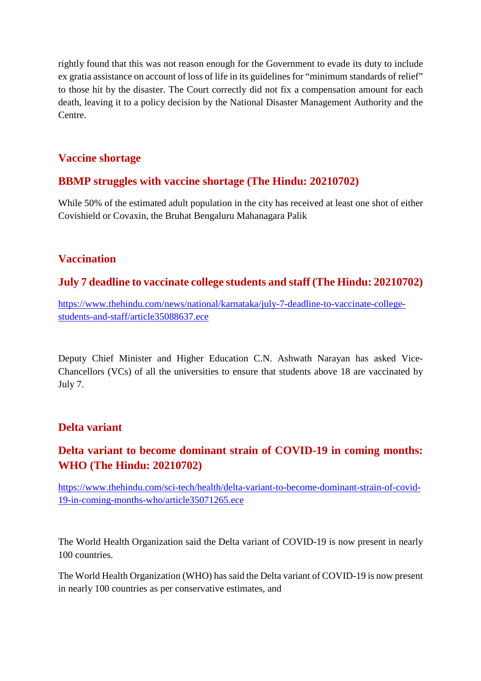rightly found that this was not reason enough for the Government to evade its duty to include ex gratia assistance on account of loss of life in its guidelines for "minimum standards of relief" to those hit by the disaster. The Court correctly did not fix a compensation amount for each death, leaving it to a policy decision by the National Disaster Management Authority and the Centre.

#### **Vaccine shortage**

#### **BBMP struggles with vaccine shortage (The Hindu: 20210702)**

While 50% of the estimated adult population in the city has received at least one shot of either Covishield or Covaxin, the Bruhat Bengaluru Mahanagara Palik

#### **Vaccination**

#### **July 7 deadline to vaccinate college students and staff (The Hindu: 20210702)**

https://www.thehindu.com/news/national/karnataka/july-7-deadline-to-vaccinate-collegestudents-and-staff/article35088637.ece

Deputy Chief Minister and Higher Education C.N. Ashwath Narayan has asked Vice-Chancellors (VCs) of all the universities to ensure that students above 18 are vaccinated by July 7.

#### **Delta variant**

#### **Delta variant to become dominant strain of COVID-19 in coming months: WHO (The Hindu: 20210702)**

https://www.thehindu.com/sci-tech/health/delta-variant-to-become-dominant-strain-of-covid-19-in-coming-months-who/article35071265.ece

The World Health Organization said the Delta variant of COVID-19 is now present in nearly 100 countries.

The World Health Organization (WHO) has said the Delta variant of COVID-19 is now present in nearly 100 countries as per conservative estimates, and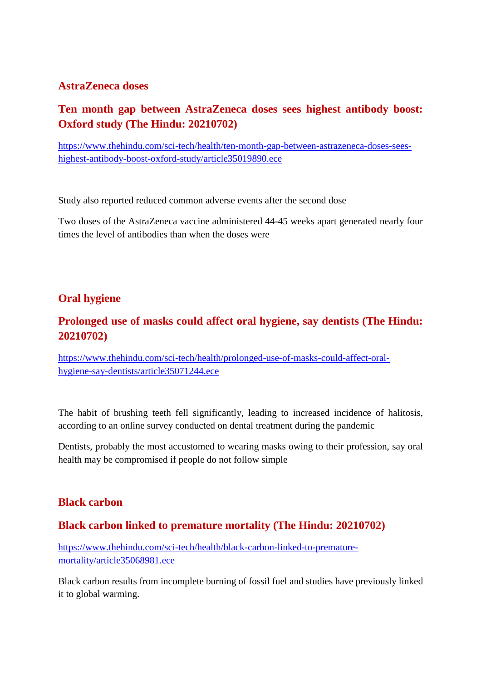#### **AstraZeneca doses**

#### **Ten month gap between AstraZeneca doses sees highest antibody boost: Oxford study (The Hindu: 20210702)**

https://www.thehindu.com/sci-tech/health/ten-month-gap-between-astrazeneca-doses-seeshighest-antibody-boost-oxford-study/article35019890.ece

Study also reported reduced common adverse events after the second dose

Two doses of the AstraZeneca vaccine administered 44-45 weeks apart generated nearly four times the level of antibodies than when the doses were

#### **Oral hygiene**

#### **Prolonged use of masks could affect oral hygiene, say dentists (The Hindu: 20210702)**

https://www.thehindu.com/sci-tech/health/prolonged-use-of-masks-could-affect-oralhygiene-say-dentists/article35071244.ece

The habit of brushing teeth fell significantly, leading to increased incidence of halitosis, according to an online survey conducted on dental treatment during the pandemic

Dentists, probably the most accustomed to wearing masks owing to their profession, say oral health may be compromised if people do not follow simple

#### **Black carbon**

#### **Black carbon linked to premature mortality (The Hindu: 20210702)**

https://www.thehindu.com/sci-tech/health/black-carbon-linked-to-prematuremortality/article35068981.ece

Black carbon results from incomplete burning of fossil fuel and studies have previously linked it to global warming.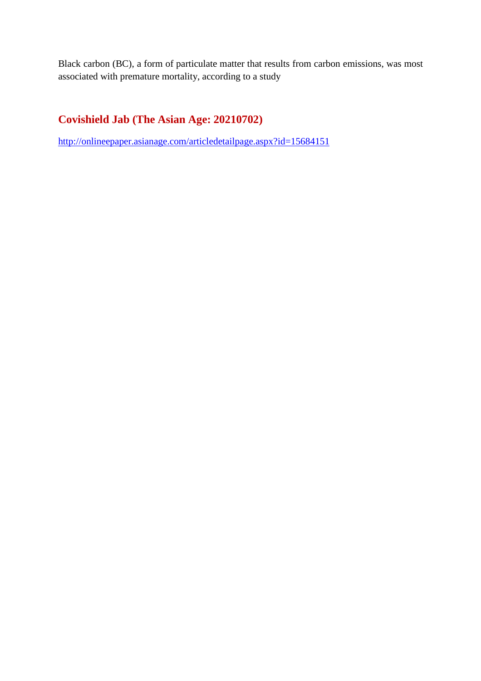Black carbon (BC), a form of particulate matter that results from carbon emissions, was most associated with premature mortality, according to a study

#### **Covishield Jab (The Asian Age: 20210702)**

http://onlineepaper.asianage.com/articledetailpage.aspx?id=15684151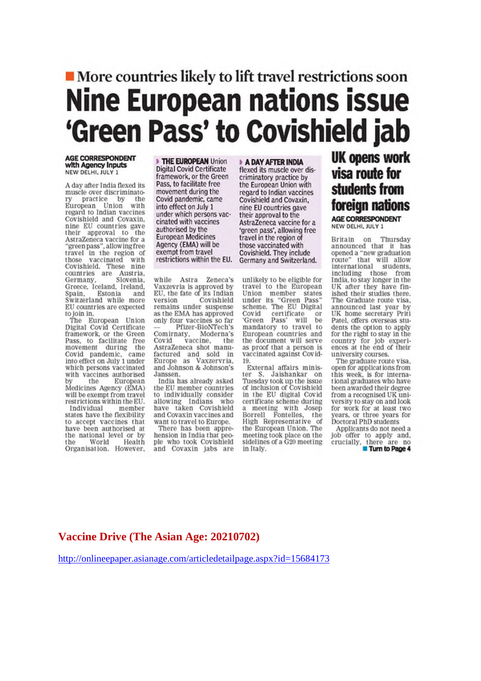## ■ More countries likely to lift travel restrictions soon **Nine European nations issue** 'Green Pass' to Covishield jab

#### **AGE CORRESPONDENT** with Agency Inputs NEW DELHI, JULY 1

A day after India flexed its muscle over discriminatopractice by the European Union with regard to Indian vaccines Covishield and Covaxin, nine EU countries gave their approval to the<br>AstraZeneca vaccine for a<br>"greenpass", allowing free<br>travel in the region of those vaccinated with<br>Covishield. These nine countries are Austria,<br>Germany, Slovenia, Greece, Iceland, Ireland, Spain, Estonia and<br>Switzerland while more<br>EU countries are expected to join in.

The European Union Digital Covid Certificate<br>framework, or the Green Pass, to facilitate free<br>movement during the<br>Covid pandemic, came<br>into effect on July 1 under which persons vaccinated with vaccines authorised the European Medicines Agency (EMA) will be exempt from travel restrictions within the EU. Individual member

states have the flexibility to accept vaccines that have been authorised at the national level or by the World Health<br>Organisation. However, THE EUROPEAN Union **Digital Covid Certificate** framework, or the Green Pass, to facilitate free movement during the Covid pandemic, came into effect on July 1 under which persons vaccinated with vaccines authorised by the **European Medicines** Agency (EMA) will be exempt from travel restrictions within the EU.

while Astra Zeneca's Vaxzevria is approved by<br>EU, the fate of its Indian Covishield version remains under suspense as the EMA has approved only four vaccines so far Pfizer-BioNTech's Comirnaty, Moderna's<br>Covid vaccine, the AstraZeneca shot manufactured and sold in<br>Europe as Vaxzervria, and Johnson & Johnson's Janssen.

India has already asked the EU member countries to individually consider allowing Indians who have taken Covishield and Covaxin vaccines and want to travel to Europe.

There has been apprehension in India that people who took Covishield and Covaxin jabs are

#### **A DAY AFTER INDIA**

flexed its muscle over discriminatory practice by the European Union with regard to Indian vaccines Covishield and Covaxin, nine EU countries gave their approval to the AstraZeneca vaccine for a<br>'green pass', allowing free travel in the region of those vaccinated with Covishield. They include Germany and Switzerland.

unlikely to be eligible for travel to the European Union member states<br>
under its "Green Pass"<br>
scheme. The EU Digital Covid certificate or<br>'Green Pass' will be mandatory to travel to<br>European countries and the document will serve as proof that a person is vaccinated against Covid-19

External affairs minister S. Jaishankar on Tuesday took up the issue of inclusion of Covishield in the EU digital Covid certificate scheme during ertime with Josep<br>Borrell Fontelles, the<br>High Representative of<br>the European Union. The meeting took place on the<br>sidelines of a G20 meeting in Italy.

### **UK opens work** visa route for students from foreign nations

AGE CORRESPONDENT NEW DELHI, JULY 1

Britain on Thursday<br>announced that it has<br>opened a "new graduation route" that will allow<br>international students, including those from<br>India, to stay longer in the UK after they have fin-<br>ished their studies there. The Graduate route visa. announced last year by UK home secretary Priti Patel, offers overseas students the option to apply for the right to stay in the country for job experi-<br>ences at the end of their university courses.

The graduate route visa. open for applications from this week, is for international graduates who have been awarded their degree from a recognised UK university to stay on and look for work for at least two years, or three years for Doctoral PhD students

Applicants do not need a job offer to apply and, crucially, there are no Turn to Page 4

#### Vaccine Drive (The Asian Age: 20210702)

http://onlineepaper.asianage.com/articledetailpage.aspx?id=15684173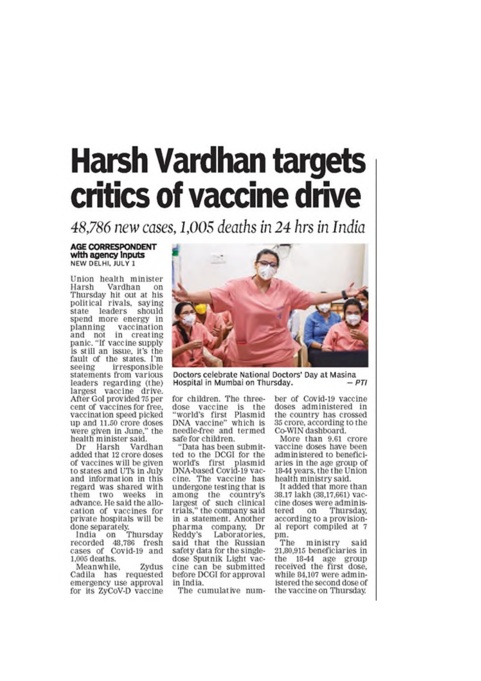# **Harsh Vardhan targets** critics of vaccine drive

48,786 new cases, 1,005 deaths in 24 hrs in India

#### **AGE CORRESPONDENT** with agency inputs NEW DELHI, JULY 1

Union health minister Harsh Vardhan on Thursday hit out at his political rivals, saying state leaders should spend more energy in planning vaccination<br>and not in creating panic. "If vaccine supply is still an issue, it's the fault of the states. I'm seeing irresponsible statements from various leaders regarding (the) largest vaccine drive. After Gol provided 75 per cent of vaccines for free, vaccination speed picked up and 11.50 crore doses were given in June," the<br>health minister said.

Vardhan Dr Harsh added that 12 crore doses of vaccines will be given to states and UTs in July and information in this regard was shared with them two weeks in advance. He said the allocation of vaccines for private hospitals will be done separately.<br>India on Thursday

recorded 48,786 fresh cases of Covid-19 and 1,005 deaths.

Meanwhile, Zydus Cadila has requested emergency use approval for its ZvCoV-D vaccine



Doctors celebrate National Doctors' Day at Masina  $-PTI$ Hospital in Mumbai on Thursday.

for children. The threedose vaccine is the "world's first Plasmid DNA vaccine" which is needle-free and termed safe for children.

"Data has been submitted to the DCGI for the world's first plasmid DNA-based Covid-19 vaccine. The vaccine has undergone testing that is among the country's<br>largest of such clinical trials," the company said in a statement. Another pharma company. Dr Reddy's Laboratories, said that the Russian safety data for the singledose Sputnik Light vaccine can be submitted before DCGI for approval in India.

The cumulative num-

ber of Covid-19 vaccine doses administered in the country has crossed 35 crore, according to the Co-WIN dashboard.

More than 9.61 crore vaccine doses have been administered to beneficiaries in the age group of 18-44 years, the the Union health ministry said.

It added that more than 38.17 lakh (38,17,661) vaccine doses were adminison Thursday, tered according to a provisional report compiled at 7 pm.

The ministry saíd 21,80,915 beneficiaries in the 18-44 age group received the first dose, while 84,107 were administered the second dose of the vaccine on Thursday.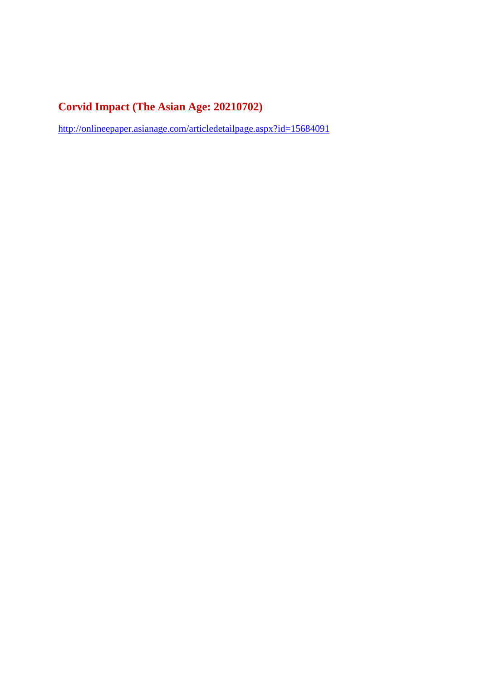#### **Corvid Impact (The Asian Age: 20210702)**

http://onlineepaper.asianage.com/articledetailpage.aspx?id=15684091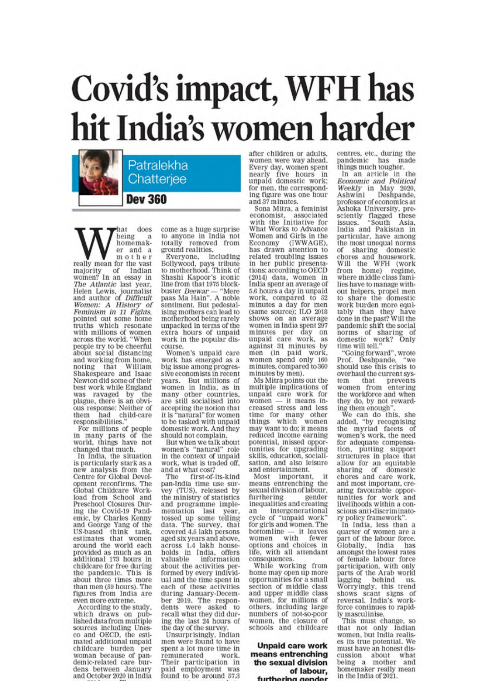# Covid's impact, WFH has hit India's women harder

Patralekha Chatterjee

**Dev 360** 

hat does being  $\mathbf a$ homemaker and a mother really mean for the vast majority of Indian<br>women? In an essay in The Atlantic last year. The Additional Islam<br>Helen Lewis, journalist<br>and author of Difficult<br>Women: A History of<br>Feminism in 11 Fights,<br>pointed out some nome truths which resonate<br>with millions of women<br>across the world, "When people try to be cheerful<br>about social distancing and working from home,<br>noting that William noting that Shakespeare and Isaac Newton did some of their best work while England was ravaged by the<br>plague, there is an obvious response: Neither of them had child-care responsibilities.

For millions of people<br>in many parts of the<br>world, things have not changed that much.

In India, the situation is particularly stark as a<br>new analysis from the Centre for Global Development reconfirms. The Global Childcare Workload from School and Preschool Closures During the Covid-19 Pandemic, by Charles Kenny<br>and George Yang of the US-based think tank,<br>estimates that women around the world each<br>provided as much as an additional 173 hours in childcare for free during<br>the pandemic. This is<br>about three times more than men (59 hours). The figures from India are even more extreme.

According to the study, which draws on pub-<br>lished data from multiple sources including Unes-<br>co and OECD, the estimated additional unpaid childcare burden per woman because of pandemic-related care burdens between January and October 2020 in India come as a huge surprise to anyone in India not<br>totally removed from ground realities.

Everyone, including Bollywood, pays tribute to motherhood. Think of Shashi Kapoor's iconic line from that 1975 blockbuster Deewar - "Mere<br>paas Ma Hain". A noble sentiment. But pedestalising mothers can lead to motherhood being rarely unpacked in terms of the extra hours of unpaid work in the popular discourse.

Women's unpaid care work has emerged as a big issue among progressive economists in recent years. But millions of women in India, as in many other countries,<br>are still socialised into accepting the notion that it is "natural" for women to be tasked with unpaid domestic work. And they should not complain.

But when we talk about women's "natural" role<br>in the context of unpaid work, what is traded off. and at what cost?

first-of-its-kind The pan-India tīme use survey (TUS), released by<br>the ministry of statistics and programme implementation last vear. tossed up some telling data. The survey, that covered 4.5 lakh persons aged six years and above. across 1.4 lakh house-<br>holds in India, offers valuable information about the activities performed by every individual and the time spent in each of these activities<br>during January-Decemduring bandary respondents were asked to recall what they did during ing the last 24 hours of the day of the survey.

Unsurprisingly, Indian<br>men were found to have spent a lot more time in remunerated work. Their participation in paid employment was found to be around 57.3

after children or adults, women were way ahead. Every day, women spent nearly five hours in<br>unpaid domestic work; for men, the corresponding figure was one hour and 37 minutes.

Sona Mitra, a feminist economist, associated<br>with the Initiative for associated What Works to Advance Women and Girls in the Economy (IWWAGE). has drawn attention to related troubling issues in her public presentations: according to OECD  $(2014)$  data, women in<br>India spent an average of 5.6 hours a day in unpaid work, compared to 52 minutes a day for men<br>(same source); ILO 2018 (same source); ILO 2018<br>shows on an average<br>women in India spent 297<br>minutes per day on<br>unpaid care work, as<br>against 31 minutes by<br>men (in paid work,<br>women spend only 160<br>minutes,compared to 360 minutes by men).

Ms Mitra points out the multiple implications of unpaid care work for<br>women - it means increased stress and less time for many other<br>things which women may want to do; it means reduced income earning potential, missed opportunities for upgrading<br>skills, education, sociali-<br>sation, and also leisure and entertainment.

Most important, it means entrenching the sexual division of labour. furthering gender inequalities and creating intergenerational an an intergenerational<br>cycle of "unpaid work"<br>for girls and women. The<br>bottomline — it leaves<br>women with fewer options and choices in<br>life, with all attendant consequences.

While working from home may open up more opportunities for a small section of middle class<br>and upper middle class women, for millions of<br>others, including large numbers of not-so-poor women, the closure of schools and childcare

**Unpaid care work** means entrenching the sexual division of labour, furthori dender na

centres, etc., during the<br>pandemic has made<br>things much tougher.<br>In an article in the<br>Economic and Political Weekly in May 2020,<br>Ashwini Deshpande, Ashwini professor of economics at Ashoka University, pre-<br>sciently flagged these<br>issues. "South Asia, India and Pakistan in particular, have among the most unequal norms of sharing domestic<br>chores and housework. Will the WFH (work<br>from home) regime, where middle class families have to manage without helpers, propel men<br>to share the domestic work burden more equi-<br>tably than they have<br>done in the past? Will the pandemic shift the social norms of sharing of<br>domestic work? Only<br>time will tell."

"Going forward", wrote Prof. Deshpande. "we should use this crisis to overhaul the current system that prevents<br>women from entering the workforce and when they do, by not reward-

ing them enough".<br>We can do this, she<br>added, "by recognising the myriad facets of women's work, the need for adequate compensation, putting support<br>structures in place that allow for an equitable<br>sharing of domestic<br>chores and care work, and most important, creating favourable opportunities for work and livelihoods within a conscious anti-discriminatory policy framework"

In India, less than a quarter of women are a<br>part of the labour force. Globally, India has<br>amongst the lowest rates of female labour force participation, with only<br>parts of the Arab world lagging behind **US** lagging oeninu us.<br>Worryingly, this trend<br>shows scant signs of<br>reversal. India's work-<br>force continues to rapid-

ly masculinise.<br>This must change, so that not only Indian women, but India realises its true potential. We must have an honest discussion about what<br>being a mother and homemaker really mean in the India of 2021.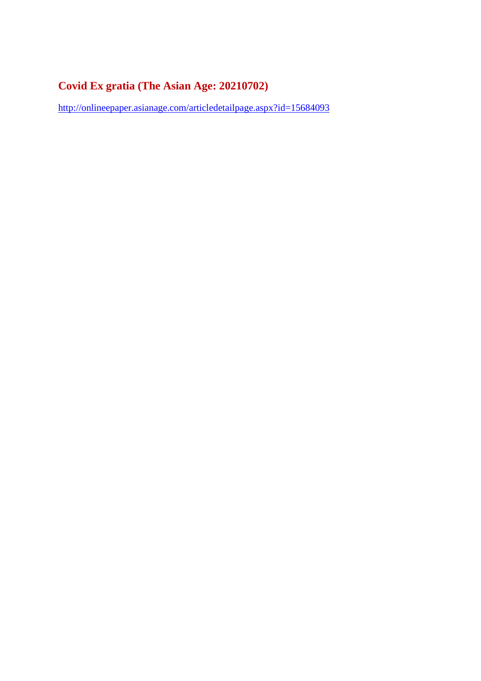#### **Covid Ex gratia (The Asian Age: 20210702)**

http://onlineepaper.asianage.com/articledetailpage.aspx?id=15684093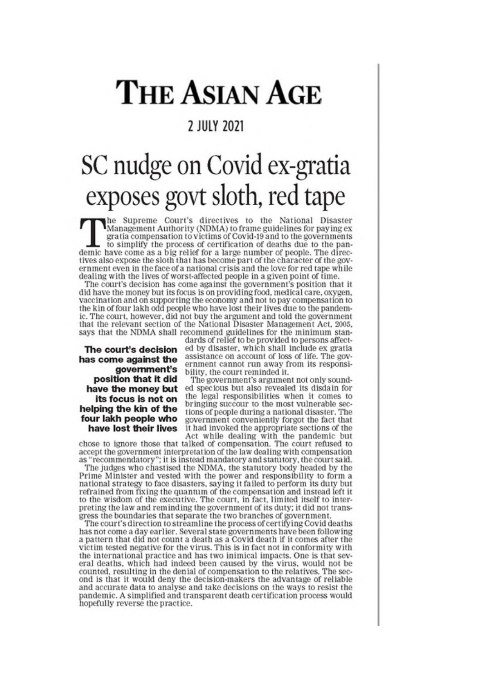# **THE ASIAN AGE**

#### **2 JULY 2021**

# SC nudge on Covid ex-gratia exposes govt sloth, red tape

The Supreme Court's directives to the National Disaster<br>Management Authority (NDMA) to frame guidelines for paying ex gratia compensation to victims of Covid-19 and to the governments to simplify the process of certification of deaths due to the pandemic have come as a big relief for a large number of people. The directives also expose the sloth that has become part of the character of the government even in the face of a national crisis and the love for red tape while dealing with the lives of worst-affected people in a given point of time.

The court's decision has come against the government's position that it did have the money but its focus is on providing food, medical care, oxygen, vaccination and on supporting the economy and not to pay compensation to the kin of four lakh odd people who have lost their lives due to the pandemic. The court, however, did not buy the argument and told the government that the relevant section of the National Disaster Management Act, 2005, says that the NDMA shall recommend guidelines for the minimum stan-

The court's decision has come against the government's position that it did have the money but its focus is not on helping the kin of the four lakh people who have lost their lives

dards of relief to be provided to persons affected by disaster, which shall include ex gratia assistance on account of loss of life. The government cannot run away from its responsibility, the court reminded it.

The government's argument not only sounded specious but also revealed its disdain for the legal responsibilities when it comes to bringing succour to the most vulnerable sections of people during a national disaster. The government conveniently forgot the fact that it had invoked the appropriate sections of the

Act while dealing with the pandemic but<br>chose to ignore those that talked of compensation. The court refused to accept the government interpretation of the law dealing with compensation as "recommendatory"; it is instead mandatory and statutory, the court said.

The judges who chastised the NDMA, the statutory body headed by the Prime Minister and vested with the power and responsibility to form a national strategy to face disasters, saying it failed to perform its duty but refrained from fixing the quantum of the compensation and instead left it to the wisdom of the executive. The court, in fact, limited itself to interpreting the law and reminding the government of its duty; it did not transgress the boundaries that separate the two branches of government.

The court's direction to streamline the process of certifying Covid deaths has not come a day earlier. Several state governments have been following a pattern that did not count a death as a Covid death if it comes after the victim tested negative for the virus. This is in fact not in conformity with the international practice and has two inimical impacts. One is that several deaths, which had indeed been caused by the virus, would not be counted, resulting in the denial of compensation to the relatives. The second is that it would deny the decision-makers the advantage of reliable and accurate data to analyse and take decisions on the ways to resist the pandemic. A simplified and transparent death certification process would hopefully reverse the practice.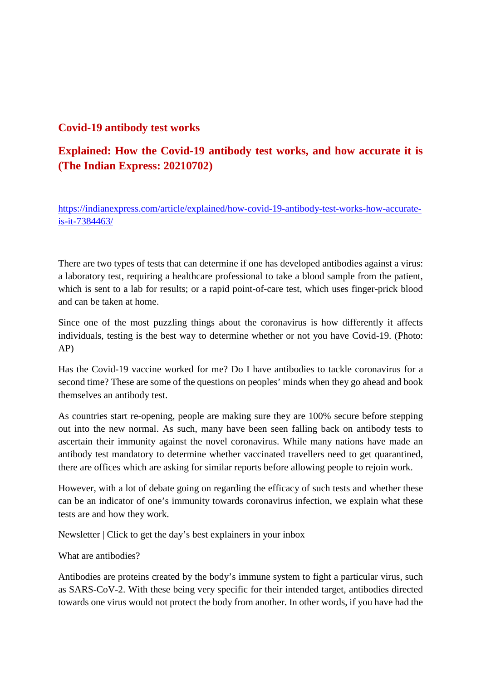#### **Covid-19 antibody test works**

#### **Explained: How the Covid-19 antibody test works, and how accurate it is (The Indian Express: 20210702)**

https://indianexpress.com/article/explained/how-covid-19-antibody-test-works-how-accurateis-it-7384463/

There are two types of tests that can determine if one has developed antibodies against a virus: a laboratory test, requiring a healthcare professional to take a blood sample from the patient, which is sent to a lab for results; or a rapid point-of-care test, which uses finger-prick blood and can be taken at home.

Since one of the most puzzling things about the coronavirus is how differently it affects individuals, testing is the best way to determine whether or not you have Covid-19. (Photo: AP)

Has the Covid-19 vaccine worked for me? Do I have antibodies to tackle coronavirus for a second time? These are some of the questions on peoples' minds when they go ahead and book themselves an antibody test.

As countries start re-opening, people are making sure they are 100% secure before stepping out into the new normal. As such, many have been seen falling back on antibody tests to ascertain their immunity against the novel coronavirus. While many nations have made an antibody test mandatory to determine whether vaccinated travellers need to get quarantined, there are offices which are asking for similar reports before allowing people to rejoin work.

However, with a lot of debate going on regarding the efficacy of such tests and whether these can be an indicator of one's immunity towards coronavirus infection, we explain what these tests are and how they work.

Newsletter | Click to get the day's best explainers in your inbox

What are antibodies?

Antibodies are proteins created by the body's immune system to fight a particular virus, such as SARS-CoV-2. With these being very specific for their intended target, antibodies directed towards one virus would not protect the body from another. In other words, if you have had the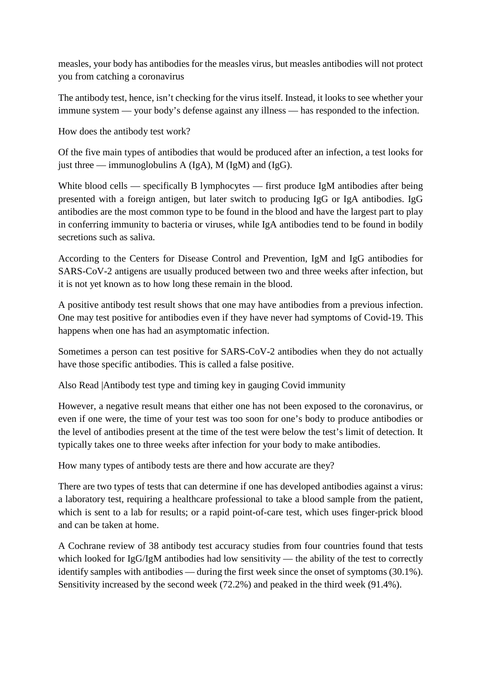measles, your body has antibodies for the measles virus, but measles antibodies will not protect you from catching a coronavirus

The antibody test, hence, isn't checking for the virus itself. Instead, it looks to see whether your immune system — your body's defense against any illness — has responded to the infection.

How does the antibody test work?

Of the five main types of antibodies that would be produced after an infection, a test looks for just three — immunoglobulins A (IgA), M (IgM) and (IgG).

White blood cells — specifically B lymphocytes — first produce IgM antibodies after being presented with a foreign antigen, but later switch to producing IgG or IgA antibodies. IgG antibodies are the most common type to be found in the blood and have the largest part to play in conferring immunity to bacteria or viruses, while IgA antibodies tend to be found in bodily secretions such as saliva.

According to the Centers for Disease Control and Prevention, IgM and IgG antibodies for SARS-CoV-2 antigens are usually produced between two and three weeks after infection, but it is not yet known as to how long these remain in the blood.

A positive antibody test result shows that one may have antibodies from a previous infection. One may test positive for antibodies even if they have never had symptoms of Covid-19. This happens when one has had an asymptomatic infection.

Sometimes a person can test positive for SARS-CoV-2 antibodies when they do not actually have those specific antibodies. This is called a false positive.

Also Read |Antibody test type and timing key in gauging Covid immunity

However, a negative result means that either one has not been exposed to the coronavirus, or even if one were, the time of your test was too soon for one's body to produce antibodies or the level of antibodies present at the time of the test were below the test's limit of detection. It typically takes one to three weeks after infection for your body to make antibodies.

How many types of antibody tests are there and how accurate are they?

There are two types of tests that can determine if one has developed antibodies against a virus: a laboratory test, requiring a healthcare professional to take a blood sample from the patient, which is sent to a lab for results; or a rapid point-of-care test, which uses finger-prick blood and can be taken at home.

A Cochrane review of 38 antibody test accuracy studies from four countries found that tests which looked for IgG/IgM antibodies had low sensitivity — the ability of the test to correctly identify samples with antibodies — during the first week since the onset of symptoms (30.1%). Sensitivity increased by the second week (72.2%) and peaked in the third week (91.4%).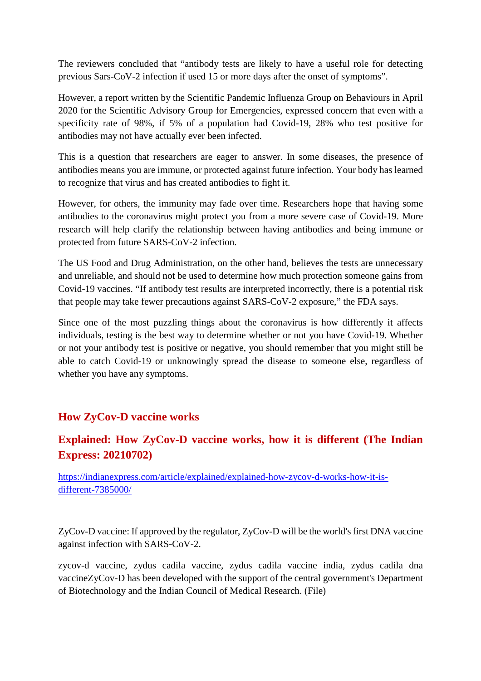The reviewers concluded that "antibody tests are likely to have a useful role for detecting previous Sars-CoV-2 infection if used 15 or more days after the onset of symptoms".

However, a report written by the Scientific Pandemic Influenza Group on Behaviours in April 2020 for the Scientific Advisory Group for Emergencies, expressed concern that even with a specificity rate of 98%, if 5% of a population had Covid-19, 28% who test positive for antibodies may not have actually ever been infected.

This is a question that researchers are eager to answer. In some diseases, the presence of antibodies means you are immune, or protected against future infection. Your body has learned to recognize that virus and has created antibodies to fight it.

However, for others, the immunity may fade over time. Researchers hope that having some antibodies to the coronavirus might protect you from a more severe case of Covid-19. More research will help clarify the relationship between having antibodies and being immune or protected from future SARS-CoV-2 infection.

The US Food and Drug Administration, on the other hand, believes the tests are unnecessary and unreliable, and should not be used to determine how much protection someone gains from Covid-19 vaccines. "If antibody test results are interpreted incorrectly, there is a potential risk that people may take fewer precautions against SARS-CoV-2 exposure," the FDA says.

Since one of the most puzzling things about the coronavirus is how differently it affects individuals, testing is the best way to determine whether or not you have Covid-19. Whether or not your antibody test is positive or negative, you should remember that you might still be able to catch Covid-19 or unknowingly spread the disease to someone else, regardless of whether you have any symptoms.

#### **How ZyCov-D vaccine works**

#### **Explained: How ZyCov-D vaccine works, how it is different (The Indian Express: 20210702)**

https://indianexpress.com/article/explained/explained-how-zycov-d-works-how-it-isdifferent-7385000/

ZyCov-D vaccine: If approved by the regulator, ZyCov-D will be the world's first DNA vaccine against infection with SARS-CoV-2.

zycov-d vaccine, zydus cadila vaccine, zydus cadila vaccine india, zydus cadila dna vaccineZyCov-D has been developed with the support of the central government's Department of Biotechnology and the Indian Council of Medical Research. (File)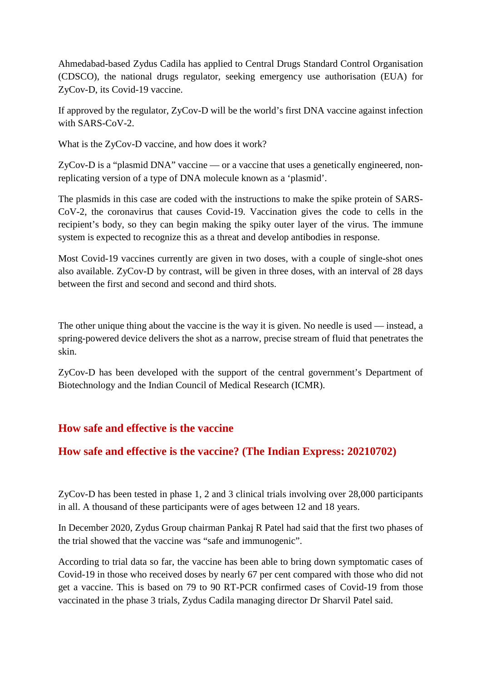Ahmedabad-based Zydus Cadila has applied to Central Drugs Standard Control Organisation (CDSCO), the national drugs regulator, seeking emergency use authorisation (EUA) for ZyCov-D, its Covid-19 vaccine.

If approved by the regulator, ZyCov-D will be the world's first DNA vaccine against infection with SARS-CoV-2.

What is the ZyCov-D vaccine, and how does it work?

ZyCov-D is a "plasmid DNA" vaccine — or a vaccine that uses a genetically engineered, nonreplicating version of a type of DNA molecule known as a 'plasmid'.

The plasmids in this case are coded with the instructions to make the spike protein of SARS-CoV-2, the coronavirus that causes Covid-19. Vaccination gives the code to cells in the recipient's body, so they can begin making the spiky outer layer of the virus. The immune system is expected to recognize this as a threat and develop antibodies in response.

Most Covid-19 vaccines currently are given in two doses, with a couple of single-shot ones also available. ZyCov-D by contrast, will be given in three doses, with an interval of 28 days between the first and second and second and third shots.

The other unique thing about the vaccine is the way it is given. No needle is used — instead, a spring-powered device delivers the shot as a narrow, precise stream of fluid that penetrates the skin.

ZyCov-D has been developed with the support of the central government's Department of Biotechnology and the Indian Council of Medical Research (ICMR).

#### **How safe and effective is the vaccine**

#### **How safe and effective is the vaccine? (The Indian Express: 20210702)**

ZyCov-D has been tested in phase 1, 2 and 3 clinical trials involving over 28,000 participants in all. A thousand of these participants were of ages between 12 and 18 years.

In December 2020, Zydus Group chairman Pankaj R Patel had said that the first two phases of the trial showed that the vaccine was "safe and immunogenic".

According to trial data so far, the vaccine has been able to bring down symptomatic cases of Covid-19 in those who received doses by nearly 67 per cent compared with those who did not get a vaccine. This is based on 79 to 90 RT-PCR confirmed cases of Covid-19 from those vaccinated in the phase 3 trials, Zydus Cadila managing director Dr Sharvil Patel said.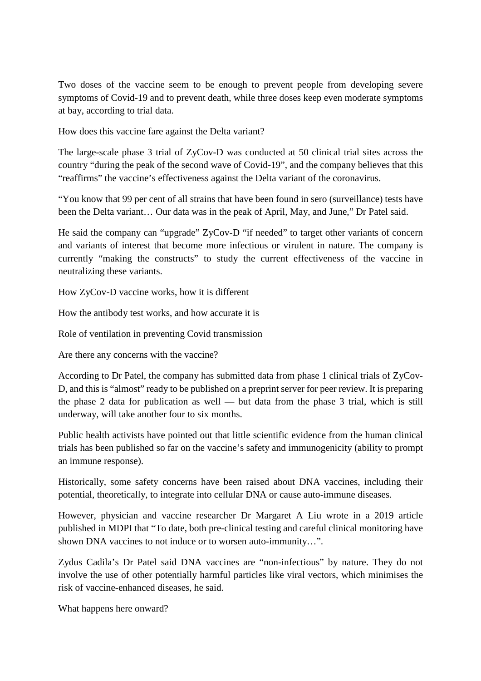Two doses of the vaccine seem to be enough to prevent people from developing severe symptoms of Covid-19 and to prevent death, while three doses keep even moderate symptoms at bay, according to trial data.

How does this vaccine fare against the Delta variant?

The large-scale phase 3 trial of ZyCov-D was conducted at 50 clinical trial sites across the country "during the peak of the second wave of Covid-19", and the company believes that this "reaffirms" the vaccine's effectiveness against the Delta variant of the coronavirus.

"You know that 99 per cent of all strains that have been found in sero (surveillance) tests have been the Delta variant… Our data was in the peak of April, May, and June," Dr Patel said.

He said the company can "upgrade" ZyCov-D "if needed" to target other variants of concern and variants of interest that become more infectious or virulent in nature. The company is currently "making the constructs" to study the current effectiveness of the vaccine in neutralizing these variants.

How ZyCov-D vaccine works, how it is different

How the antibody test works, and how accurate it is

Role of ventilation in preventing Covid transmission

Are there any concerns with the vaccine?

According to Dr Patel, the company has submitted data from phase 1 clinical trials of ZyCov-D, and this is "almost" ready to be published on a preprint server for peer review. It is preparing the phase 2 data for publication as well — but data from the phase 3 trial, which is still underway, will take another four to six months.

Public health activists have pointed out that little scientific evidence from the human clinical trials has been published so far on the vaccine's safety and immunogenicity (ability to prompt an immune response).

Historically, some safety concerns have been raised about DNA vaccines, including their potential, theoretically, to integrate into cellular DNA or cause auto-immune diseases.

However, physician and vaccine researcher Dr Margaret A Liu wrote in a 2019 article published in MDPI that "To date, both pre-clinical testing and careful clinical monitoring have shown DNA vaccines to not induce or to worsen auto-immunity…".

Zydus Cadila's Dr Patel said DNA vaccines are "non-infectious" by nature. They do not involve the use of other potentially harmful particles like viral vectors, which minimises the risk of vaccine-enhanced diseases, he said.

What happens here onward?